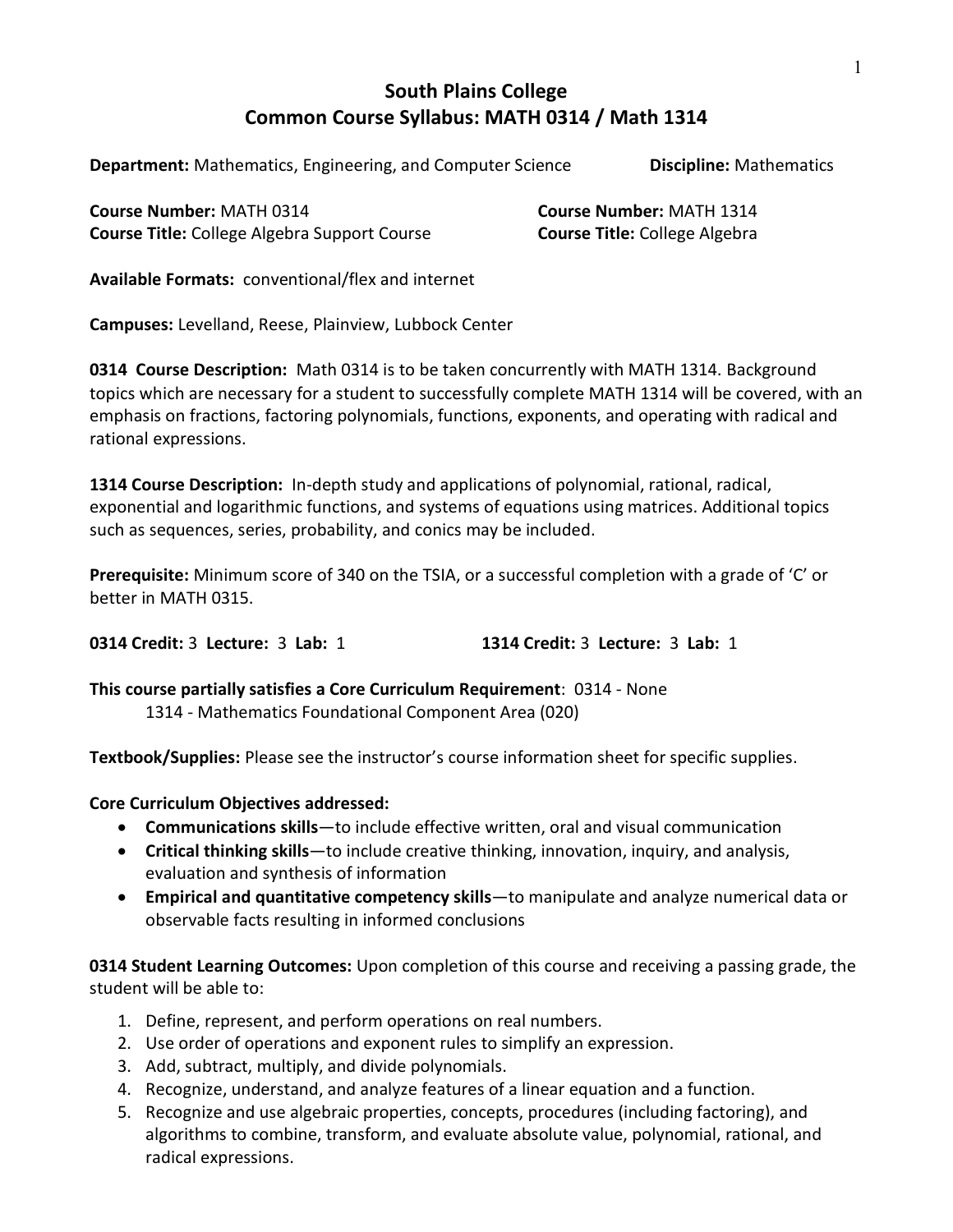## **South Plains College Common Course Syllabus: MATH 0314 / Math 1314**

**Department:** Mathematics, Engineering, and Computer Science **Discipline:** Mathematics

**Course Number:** MATH 0314 **Course Number:** MATH 1314 **Course Title:** College Algebra Support Course **Course Title:** College Algebra

**Available Formats:** conventional/flex and internet

**Campuses:** Levelland, Reese, Plainview, Lubbock Center

**0314 Course Description:** Math 0314 is to be taken concurrently with MATH 1314. Background topics which are necessary for a student to successfully complete MATH 1314 will be covered, with an emphasis on fractions, factoring polynomials, functions, exponents, and operating with radical and rational expressions.

**1314 Course Description:** In-depth study and applications of polynomial, rational, radical, exponential and logarithmic functions, and systems of equations using matrices. Additional topics such as sequences, series, probability, and conics may be included.

**Prerequisite:** Minimum score of 340 on the TSIA, or a successful completion with a grade of 'C' or better in MATH 0315.

**0314 Credit:** 3 **Lecture:** 3 **Lab:** 1 **1314 Credit:** 3 **Lecture:** 3 **Lab:** 1

**This course partially satisfies a Core Curriculum Requirement**: 0314 - None

1314 - Mathematics Foundational Component Area (020)

**Textbook/Supplies:** Please see the instructor's course information sheet for specific supplies.

### **Core Curriculum Objectives addressed:**

- **Communications skills**—to include effective written, oral and visual communication
- **Critical thinking skills**—to include creative thinking, innovation, inquiry, and analysis, evaluation and synthesis of information
- **Empirical and quantitative competency skills**—to manipulate and analyze numerical data or observable facts resulting in informed conclusions

**0314 Student Learning Outcomes:** Upon completion of this course and receiving a passing grade, the student will be able to:

- 1. Define, represent, and perform operations on real numbers.
- 2. Use order of operations and exponent rules to simplify an expression.
- 3. Add, subtract, multiply, and divide polynomials.
- 4. Recognize, understand, and analyze features of a linear equation and a function.
- 5. Recognize and use algebraic properties, concepts, procedures (including factoring), and algorithms to combine, transform, and evaluate absolute value, polynomial, rational, and radical expressions.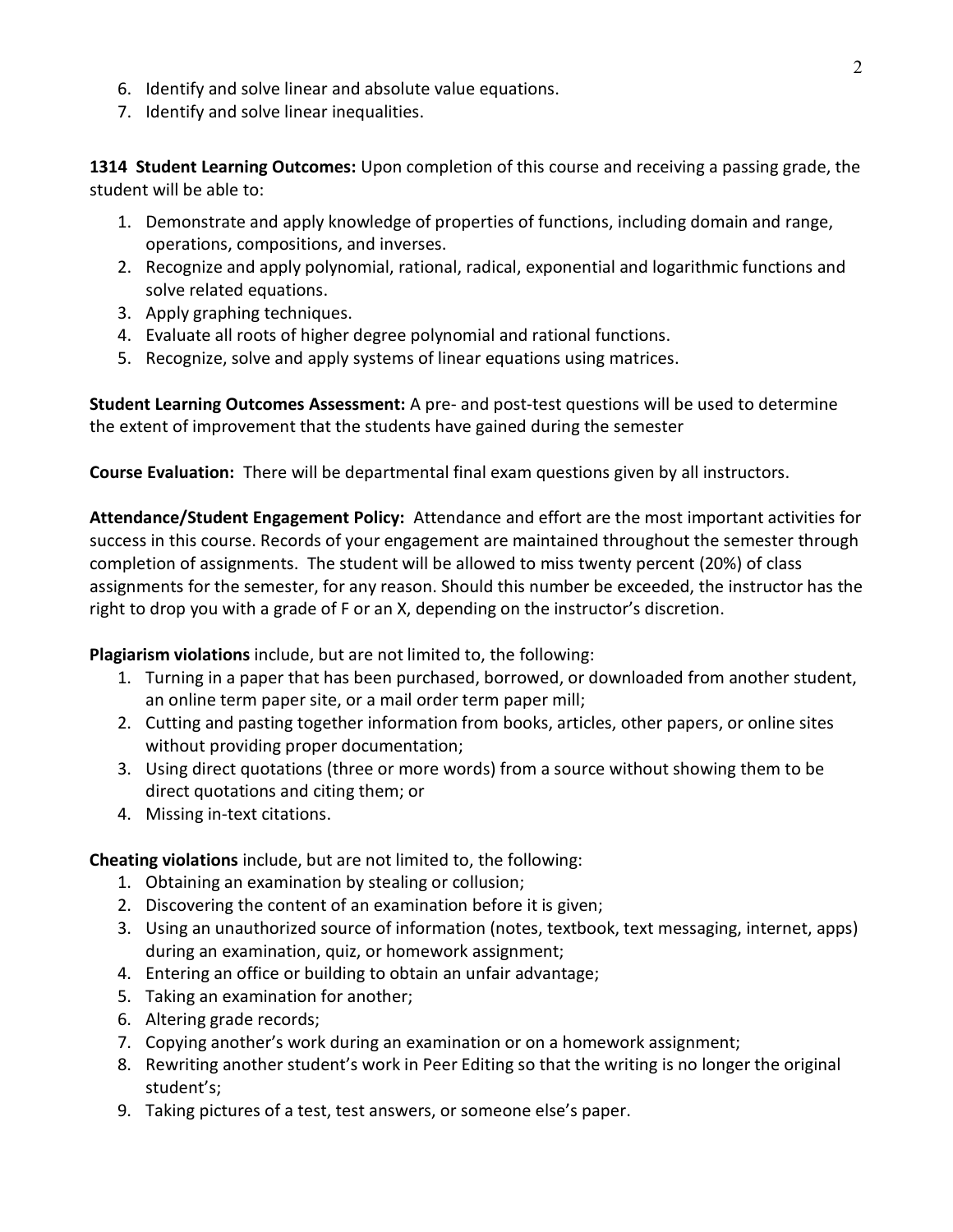- 6. Identify and solve linear and absolute value equations.
- 7. Identify and solve linear inequalities.

**1314 Student Learning Outcomes:** Upon completion of this course and receiving a passing grade, the student will be able to:

- 1. Demonstrate and apply knowledge of properties of functions, including domain and range, operations, compositions, and inverses.
- 2. Recognize and apply polynomial, rational, radical, exponential and logarithmic functions and solve related equations.
- 3. Apply graphing techniques.
- 4. Evaluate all roots of higher degree polynomial and rational functions.
- 5. Recognize, solve and apply systems of linear equations using matrices.

**Student Learning Outcomes Assessment:** A pre- and post-test questions will be used to determine the extent of improvement that the students have gained during the semester

**Course Evaluation:** There will be departmental final exam questions given by all instructors.

**Attendance/Student Engagement Policy:** Attendance and effort are the most important activities for success in this course. Records of your engagement are maintained throughout the semester through completion of assignments. The student will be allowed to miss twenty percent (20%) of class assignments for the semester, for any reason. Should this number be exceeded, the instructor has the right to drop you with a grade of F or an X, depending on the instructor's discretion.

**Plagiarism violations** include, but are not limited to, the following:

- 1. Turning in a paper that has been purchased, borrowed, or downloaded from another student, an online term paper site, or a mail order term paper mill;
- 2. Cutting and pasting together information from books, articles, other papers, or online sites without providing proper documentation;
- 3. Using direct quotations (three or more words) from a source without showing them to be direct quotations and citing them; or
- 4. Missing in-text citations.

**Cheating violations** include, but are not limited to, the following:

- 1. Obtaining an examination by stealing or collusion;
- 2. Discovering the content of an examination before it is given;
- 3. Using an unauthorized source of information (notes, textbook, text messaging, internet, apps) during an examination, quiz, or homework assignment;
- 4. Entering an office or building to obtain an unfair advantage;
- 5. Taking an examination for another;
- 6. Altering grade records;
- 7. Copying another's work during an examination or on a homework assignment;
- 8. Rewriting another student's work in Peer Editing so that the writing is no longer the original student's;
- 9. Taking pictures of a test, test answers, or someone else's paper.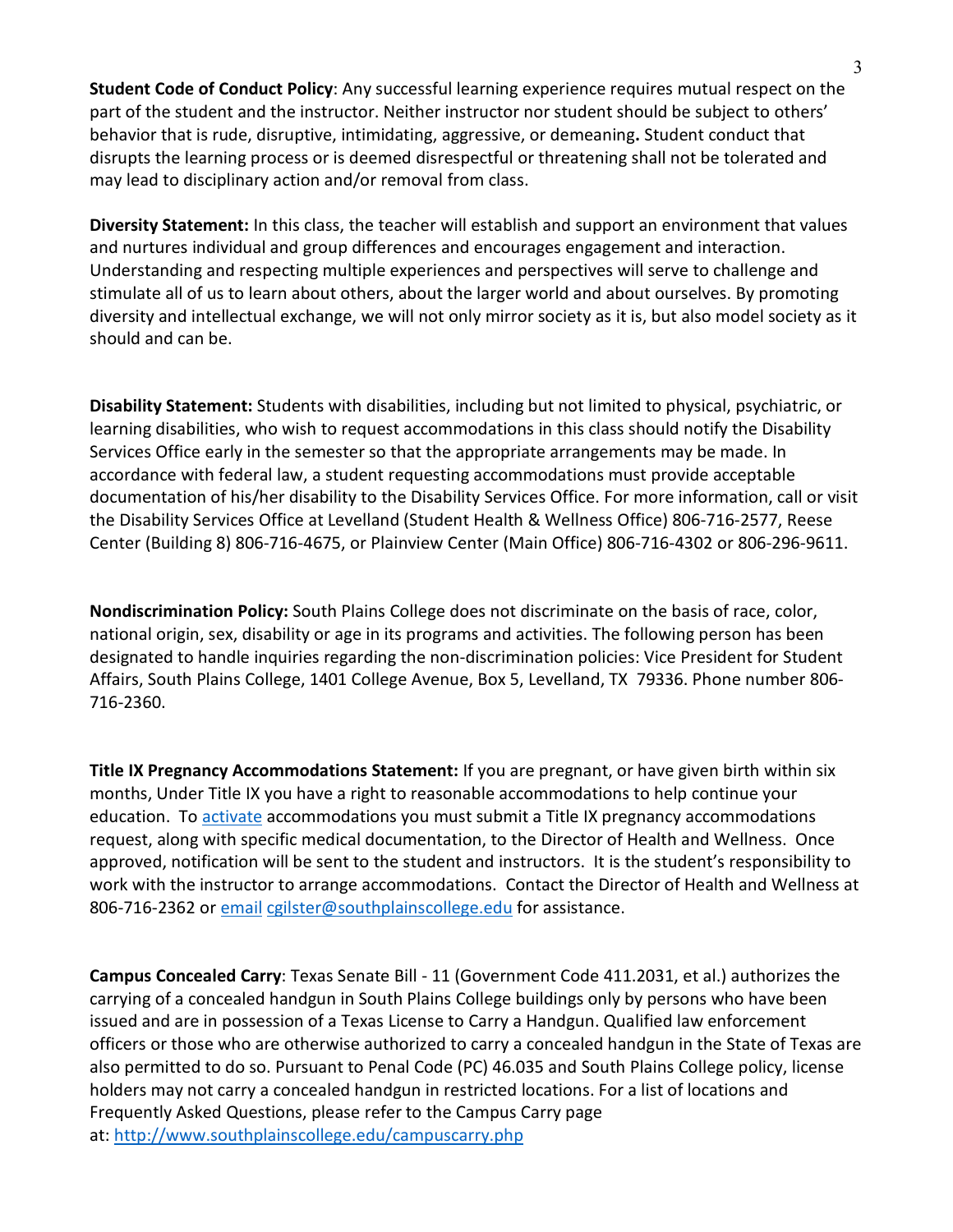**Student Code of Conduct Policy**: Any successful learning experience requires mutual respect on the part of the student and the instructor. Neither instructor nor student should be subject to others' behavior that is rude, disruptive, intimidating, aggressive, or demeaning**.** Student conduct that disrupts the learning process or is deemed disrespectful or threatening shall not be tolerated and may lead to disciplinary action and/or removal from class.

**Diversity Statement:** In this class, the teacher will establish and support an environment that values and nurtures individual and group differences and encourages engagement and interaction. Understanding and respecting multiple experiences and perspectives will serve to challenge and stimulate all of us to learn about others, about the larger world and about ourselves. By promoting diversity and intellectual exchange, we will not only mirror society as it is, but also model society as it should and can be.

**Disability Statement:** Students with disabilities, including but not limited to physical, psychiatric, or learning disabilities, who wish to request accommodations in this class should notify the Disability Services Office early in the semester so that the appropriate arrangements may be made. In accordance with federal law, a student requesting accommodations must provide acceptable documentation of his/her disability to the Disability Services Office. For more information, call or visit the Disability Services Office at Levelland (Student Health & Wellness Office) 806-716-2577, Reese Center (Building 8) 806-716-4675, or Plainview Center (Main Office) 806-716-4302 or 806-296-9611.

**Nondiscrimination Policy:** South Plains College does not discriminate on the basis of race, color, national origin, sex, disability or age in its programs and activities. The following person has been designated to handle inquiries regarding the non-discrimination policies: Vice President for Student Affairs, South Plains College, 1401 College Avenue, Box 5, Levelland, TX 79336. Phone number 806- 716-2360.

**Title IX Pregnancy Accommodations Statement:** If you are pregnant, or have given birth within six months, Under Title IX you have a right to reasonable accommodations to help continue your education. To [activate](http://www.southplainscollege.edu/employees/manualshandbooks/facultyhandbook/sec4.php) accommodations you must submit a Title IX pregnancy accommodations request, along with specific medical documentation, to the Director of Health and Wellness. Once approved, notification will be sent to the student and instructors. It is the student's responsibility to work with the instructor to arrange accommodations. Contact the Director of Health and Wellness at 806-716-2362 or [email](http://www.southplainscollege.edu/employees/manualshandbooks/facultyhandbook/sec4.php) [cgilster@southplainscollege.edu](mailto:cgilster@southplainscollege.edu) for assistance.

**Campus Concealed Carry**: Texas Senate Bill - 11 (Government Code 411.2031, et al.) authorizes the carrying of a concealed handgun in South Plains College buildings only by persons who have been issued and are in possession of a Texas License to Carry a Handgun. Qualified law enforcement officers or those who are otherwise authorized to carry a concealed handgun in the State of Texas are also permitted to do so. Pursuant to Penal Code (PC) 46.035 and South Plains College policy, license holders may not carry a concealed handgun in restricted locations. For a list of locations and Frequently Asked Questions, please refer to the Campus Carry page at: <http://www.southplainscollege.edu/campuscarry.php>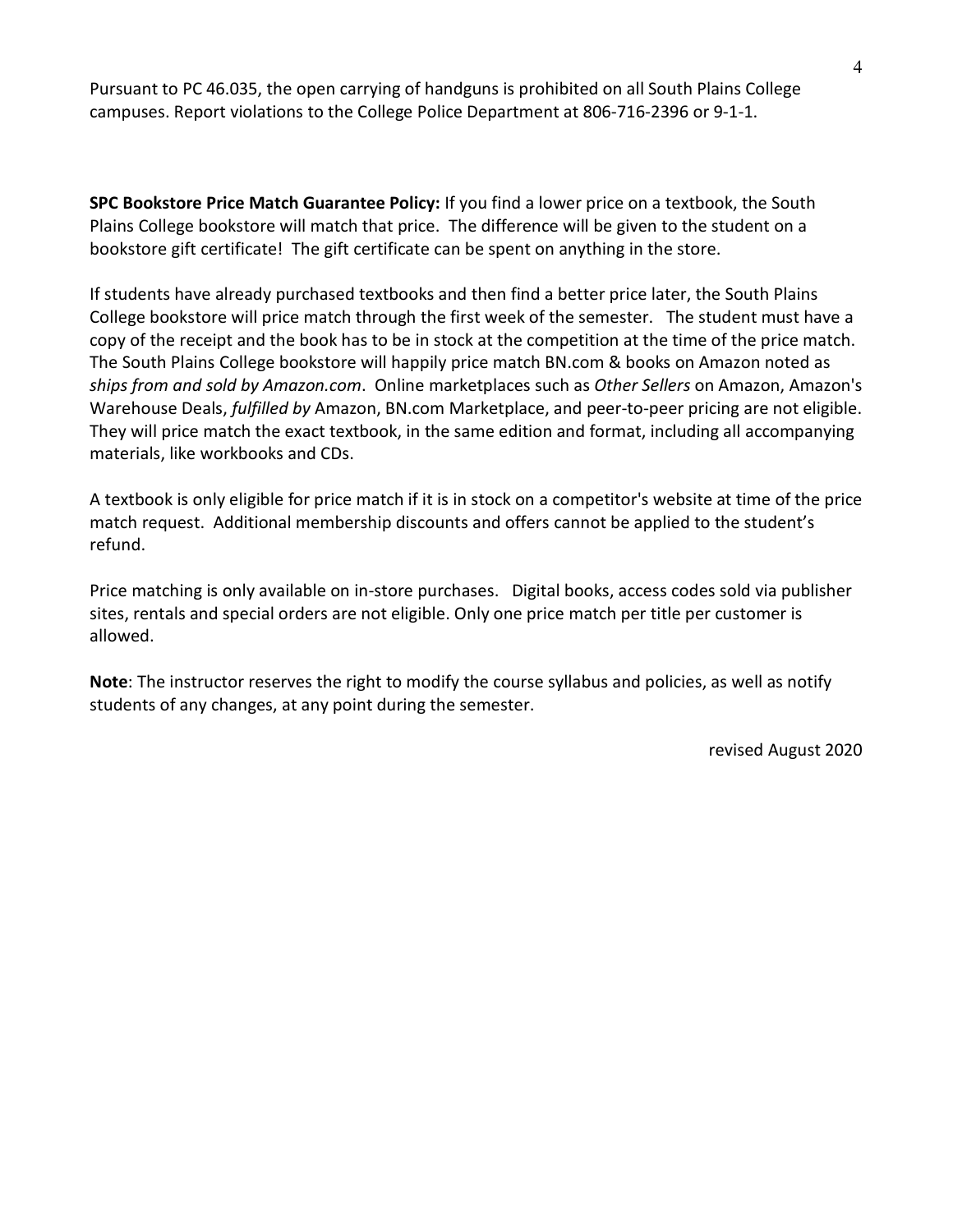Pursuant to PC 46.035, the open carrying of handguns is prohibited on all South Plains College campuses. Report violations to the College Police Department at 806-716-2396 or 9-1-1.

**SPC Bookstore Price Match Guarantee Policy:** If you find a lower price on a textbook, the South Plains College bookstore will match that price. The difference will be given to the student on a bookstore gift certificate! The gift certificate can be spent on anything in the store.

If students have already purchased textbooks and then find a better price later, the South Plains College bookstore will price match through the first week of the semester. The student must have a copy of the receipt and the book has to be in stock at the competition at the time of the price match. The South Plains College bookstore will happily price match BN.com & books on Amazon noted as *ships from and sold by Amazon.com*. Online marketplaces such as *Other Sellers* on Amazon, Amazon's Warehouse Deals, *fulfilled by* Amazon, BN.com Marketplace, and peer-to-peer pricing are not eligible. They will price match the exact textbook, in the same edition and format, including all accompanying materials, like workbooks and CDs.

A textbook is only eligible for price match if it is in stock on a competitor's website at time of the price match request. Additional membership discounts and offers cannot be applied to the student's refund.

Price matching is only available on in-store purchases. Digital books, access codes sold via publisher sites, rentals and special orders are not eligible. Only one price match per title per customer is allowed.

**Note**: The instructor reserves the right to modify the course syllabus and policies, as well as notify students of any changes, at any point during the semester.

revised August 2020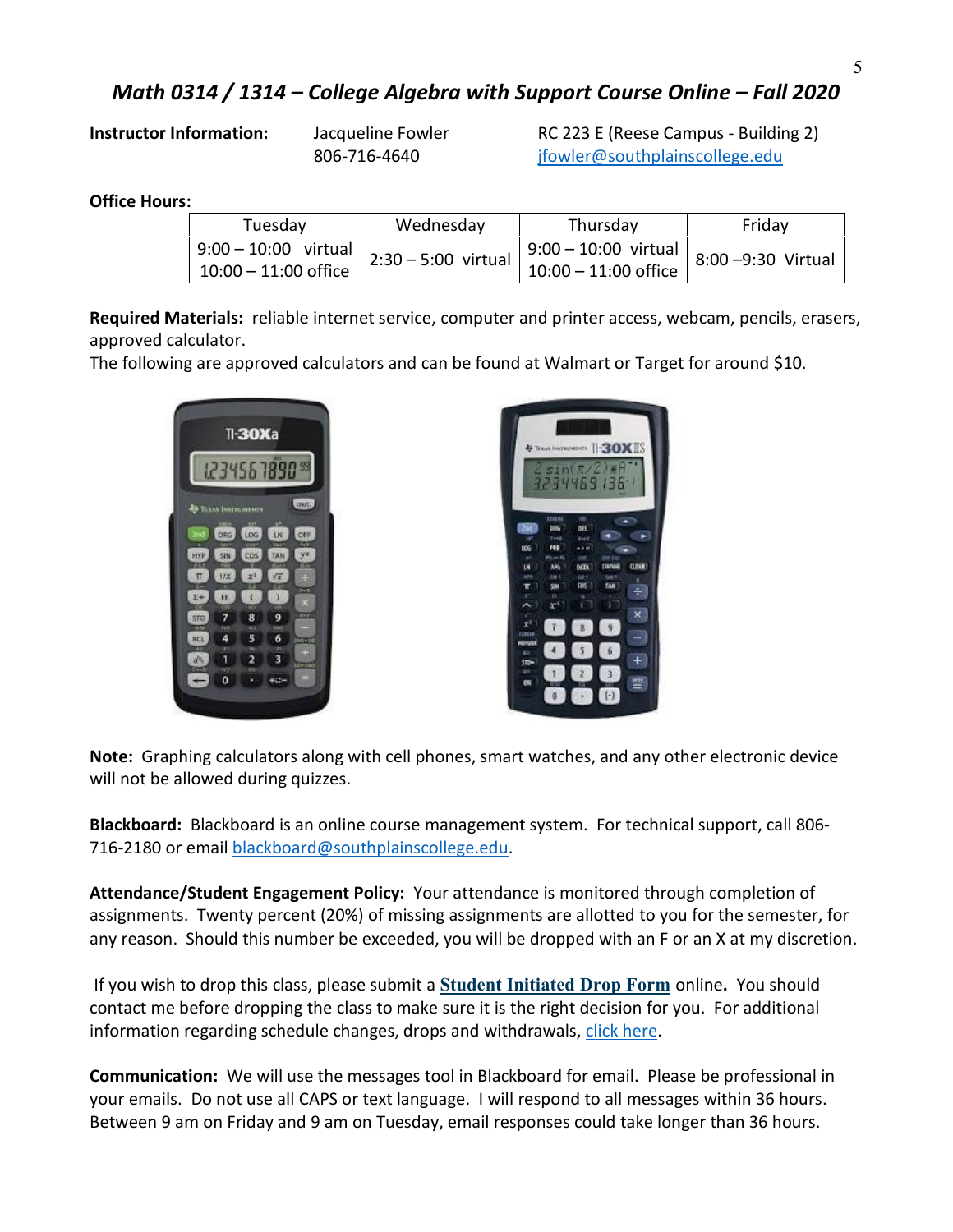# *Math 0314 / 1314 – College Algebra with Support Course Online – Fall 2020*

**Instructor Information:** Jacqueline Fowler RC 223 E (Reese Campus - Building 2) 806-716-4640 ifowler@southplainscollege.edu

**Office Hours:**

| Tuesday | Wednesday | Thursday | Friday             |
|---------|-----------|----------|--------------------|
|         |           |          | 8:00 -9:30 Virtual |
|         |           |          |                    |

**Required Materials:** reliable internet service, computer and printer access, webcam, pencils, erasers, approved calculator.

The following are approved calculators and can be found at Walmart or Target for around \$10.





**Note:** Graphing calculators along with cell phones, smart watches, and any other electronic device will not be allowed during quizzes.

**Blackboard:** Blackboard is an online course management system. For technical support, call 806- 716-2180 or email [blackboard@southplainscollege.edu.](mailto:blackboard@southplainscollege.edu)

**Attendance/Student Engagement Policy:** Your attendance is monitored through completion of assignments. Twenty percent (20%) of missing assignments are allotted to you for the semester, for any reason. Should this number be exceeded, you will be dropped with an F or an X at my discretion.

If you wish to drop this class, please submit a **Student [Initiated](https://forms.office.com/Pages/ResponsePage.aspx?id=ZrGRbWrP6UWeIqAmJdCCqRkmPIpp6AVCixFJfcqITt9UODExTUFXS0JOODhJOTlYM0NEV1kzRk9GMS4u) Drop Form** online**.** You should contact me before dropping the class to make sure it is the right decision for you. For additional information regarding schedule changes, drops and withdrawals, click [here.](http://www.southplainscollege.edu/admission-aid/apply/schedulechanges.php)

**Communication:** We will use the messages tool in Blackboard for email. Please be professional in your emails. Do not use all CAPS or text language. I will respond to all messages within 36 hours. Between 9 am on Friday and 9 am on Tuesday, email responses could take longer than 36 hours.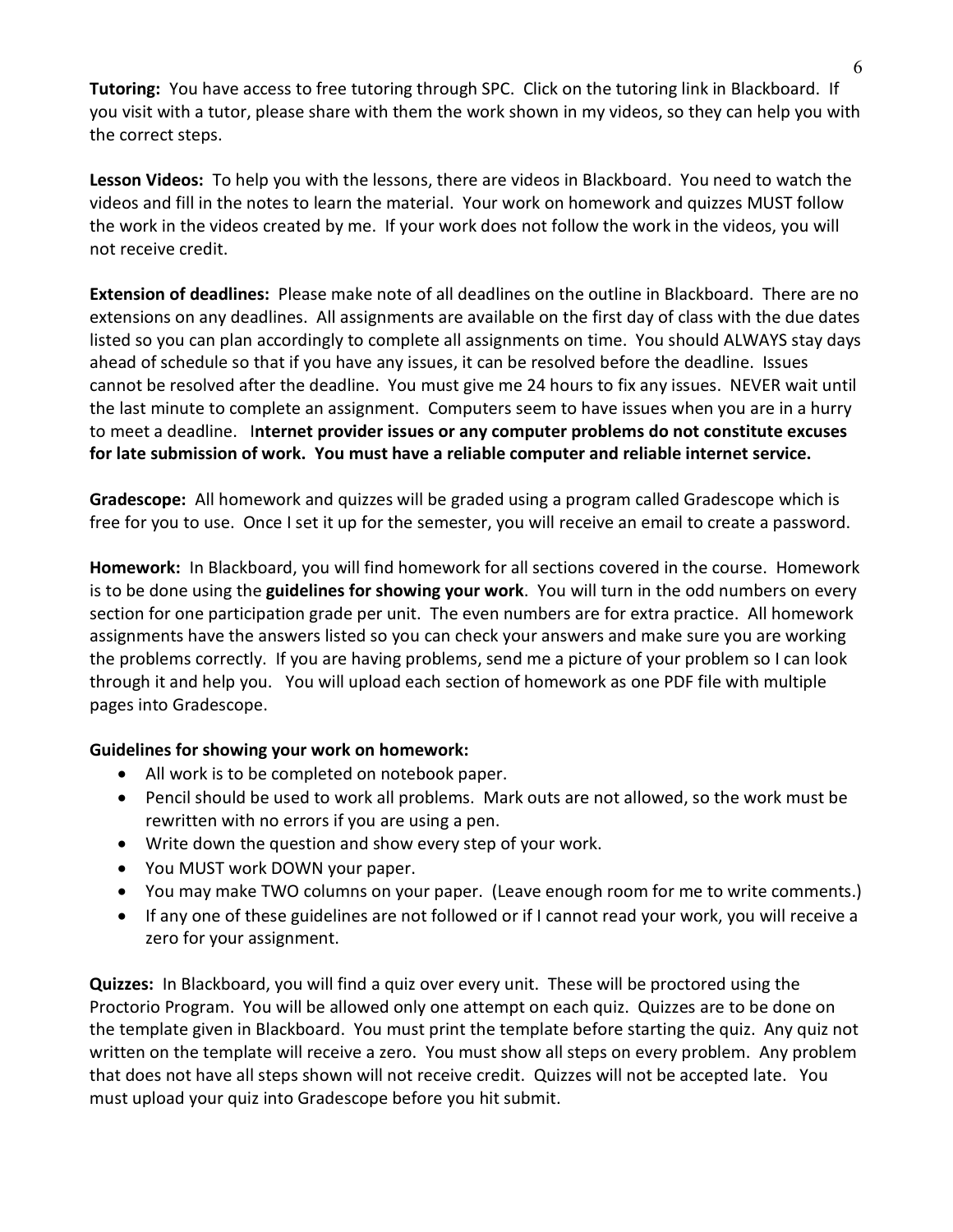**Tutoring:** You have access to free tutoring through SPC. Click on the tutoring link in Blackboard. If you visit with a tutor, please share with them the work shown in my videos, so they can help you with the correct steps.

**Lesson Videos:** To help you with the lessons, there are videos in Blackboard. You need to watch the videos and fill in the notes to learn the material. Your work on homework and quizzes MUST follow the work in the videos created by me. If your work does not follow the work in the videos, you will not receive credit.

**Extension of deadlines:** Please make note of all deadlines on the outline in Blackboard. There are no extensions on any deadlines. All assignments are available on the first day of class with the due dates listed so you can plan accordingly to complete all assignments on time. You should ALWAYS stay days ahead of schedule so that if you have any issues, it can be resolved before the deadline. Issues cannot be resolved after the deadline. You must give me 24 hours to fix any issues. NEVER wait until the last minute to complete an assignment. Computers seem to have issues when you are in a hurry to meet a deadline. I**nternet provider issues or any computer problems do not constitute excuses for late submission of work. You must have a reliable computer and reliable internet service.**

**Gradescope:** All homework and quizzes will be graded using a program called Gradescope which is free for you to use. Once I set it up for the semester, you will receive an email to create a password.

**Homework:** In Blackboard, you will find homework for all sections covered in the course. Homework is to be done using the **guidelines for showing your work**. You will turn in the odd numbers on every section for one participation grade per unit. The even numbers are for extra practice. All homework assignments have the answers listed so you can check your answers and make sure you are working the problems correctly. If you are having problems, send me a picture of your problem so I can look through it and help you. You will upload each section of homework as one PDF file with multiple pages into Gradescope.

### **Guidelines for showing your work on homework:**

- All work is to be completed on notebook paper.
- Pencil should be used to work all problems. Mark outs are not allowed, so the work must be rewritten with no errors if you are using a pen.
- Write down the question and show every step of your work.
- You MUST work DOWN your paper.
- You may make TWO columns on your paper. (Leave enough room for me to write comments.)
- If any one of these guidelines are not followed or if I cannot read your work, you will receive a zero for your assignment.

**Quizzes:** In Blackboard, you will find a quiz over every unit. These will be proctored using the Proctorio Program. You will be allowed only one attempt on each quiz. Quizzes are to be done on the template given in Blackboard. You must print the template before starting the quiz. Any quiz not written on the template will receive a zero. You must show all steps on every problem. Any problem that does not have all steps shown will not receive credit. Quizzes will not be accepted late. You must upload your quiz into Gradescope before you hit submit.